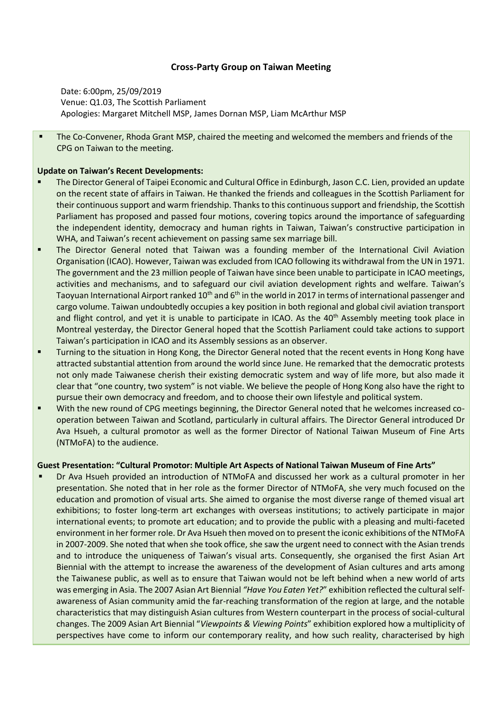## **Cross-Party Group on Taiwan Meeting**

Date: 6:00pm, 25/09/2019 Venue: Q1.03, The Scottish Parliament Apologies: Margaret Mitchell MSP, James Dornan MSP, Liam McArthur MSP

The Co-Convener, Rhoda Grant MSP, chaired the meeting and welcomed the members and friends of the CPG on Taiwan to the meeting.

## **Update on Taiwan's Recent Developments:**

- The Director General of Taipei Economic and Cultural Office in Edinburgh, Jason C.C. Lien, provided an update on the recent state of affairs in Taiwan. He thanked the friends and colleagues in the Scottish Parliament for their continuous support and warm friendship. Thanks to this continuous support and friendship, the Scottish Parliament has proposed and passed four motions, covering topics around the importance of safeguarding the independent identity, democracy and human rights in Taiwan, Taiwan's constructive participation in WHA, and Taiwan's recent achievement on passing same sex marriage bill.
- **•** The Director General noted that Taiwan was a founding member of the International Civil Aviation Organisation (ICAO). However, Taiwan was excluded from ICAO following its withdrawal from the UN in 1971. The government and the 23 million people of Taiwan have since been unable to participate in ICAO meetings, activities and mechanisms, and to safeguard our civil aviation development rights and welfare. Taiwan's Taoyuan International Airport ranked 10<sup>th</sup> and 6<sup>th</sup> in the world in 2017 in terms of international passenger and cargo volume. Taiwan undoubtedly occupies a key position in both regional and global civil aviation transport and flight control, and yet it is unable to participate in ICAO. As the 40<sup>th</sup> Assembly meeting took place in Montreal yesterday, the Director General hoped that the Scottish Parliament could take actions to support Taiwan's participation in ICAO and its Assembly sessions as an observer.
- Turning to the situation in Hong Kong, the Director General noted that the recent events in Hong Kong have attracted substantial attention from around the world since June. He remarked that the democratic protests not only made Taiwanese cherish their existing democratic system and way of life more, but also made it clear that "one country, two system" is not viable. We believe the people of Hong Kong also have the right to pursue their own democracy and freedom, and to choose their own lifestyle and political system.
- With the new round of CPG meetings beginning, the Director General noted that he welcomes increased cooperation between Taiwan and Scotland, particularly in cultural affairs. The Director General introduced Dr Ava Hsueh, a cultural promotor as well as the former Director of National Taiwan Museum of Fine Arts (NTMoFA) to the audience.

## **Guest Presentation: "Cultural Promotor: Multiple Art Aspects of National Taiwan Museum of Fine Arts"**

Dr Ava Hsueh provided an introduction of NTMoFA and discussed her work as a cultural promoter in her presentation. She noted that in her role as the former Director of NTMoFA, she very much focused on the education and promotion of visual arts. She aimed to organise the most diverse range of themed visual art exhibitions; to foster long-term art exchanges with overseas institutions; to actively participate in major international events; to promote art education; and to provide the public with a pleasing and multi-faceted environment in her former role. Dr Ava Hsueh then moved on to present the iconic exhibitions of the NTMoFA in 2007-2009. She noted that when she took office, she saw the urgent need to connect with the Asian trends and to introduce the uniqueness of Taiwan's visual arts. Consequently, she organised the first Asian Art Biennial with the attempt to increase the awareness of the development of Asian cultures and arts among the Taiwanese public, as well as to ensure that Taiwan would not be left behind when a new world of arts was emerging in Asia. The 2007 Asian Art Biennial *"Have You Eaten Yet?*" exhibition reflected the cultural selfawareness of Asian community amid the far-reaching transformation of the region at large, and the notable characteristics that may distinguish Asian cultures from Western counterpart in the process of social-cultural changes. The 2009 Asian Art Biennial "*Viewpoints & Viewing Points*" exhibition explored how a multiplicity of perspectives have come to inform our contemporary reality, and how such reality, characterised by high